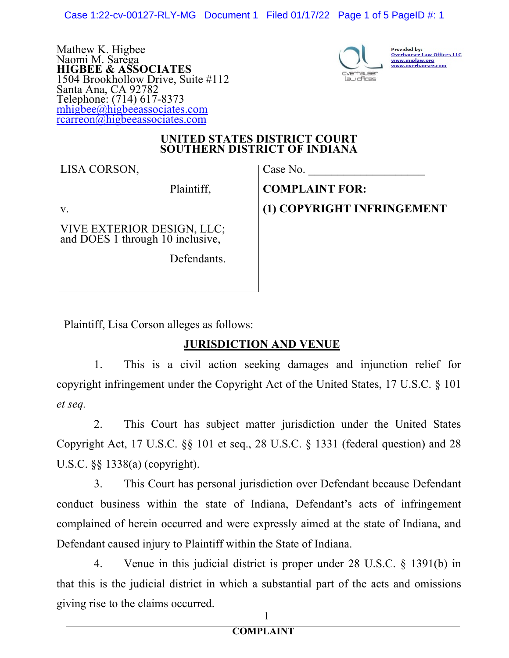Case 1:22-cv-00127-RLY-MG Document 1 Filed 01/17/22 Page 1 of 5 PageID #: 1

Mathew K. Higbee Naomi M. Sarega **HIGBEE & ASSOCIATES** 1504 Brookhollow Drive, Suite #112 Santa Ana, CA 92782 Telephone: (714) 617-8373 mhigbee@higbeeassociates.com rcarreon@higbeeassociates.com



Provided by:<br><u>Overhauser Law Offices LLC</u> www.iniplaw.org<br>www.overhauser.com

#### **UNITED STATES DISTRICT COURT SOUTHERN DISTRICT OF INDIANA**

LISA CORSON,

Plaintiff,

v.

VIVE EXTERIOR DESIGN, LLC; and DOES 1 through 10 inclusive,

Defendants.

Case No.

**COMPLAINT FOR: (1) COPYRIGHT INFRINGEMENT**

Plaintiff, Lisa Corson alleges as follows:

## **JURISDICTION AND VENUE**

1. This is a civil action seeking damages and injunction relief for copyright infringement under the Copyright Act of the United States, 17 U.S.C. § 101 *et seq.*

2. This Court has subject matter jurisdiction under the United States Copyright Act, 17 U.S.C. §§ 101 et seq., 28 U.S.C. § 1331 (federal question) and 28 U.S.C. §§ 1338(a) (copyright).

3. This Court has personal jurisdiction over Defendant because Defendant conduct business within the state of Indiana, Defendant's acts of infringement complained of herein occurred and were expressly aimed at the state of Indiana, and Defendant caused injury to Plaintiff within the State of Indiana.

4. Venue in this judicial district is proper under 28 U.S.C. § 1391(b) in that this is the judicial district in which a substantial part of the acts and omissions giving rise to the claims occurred.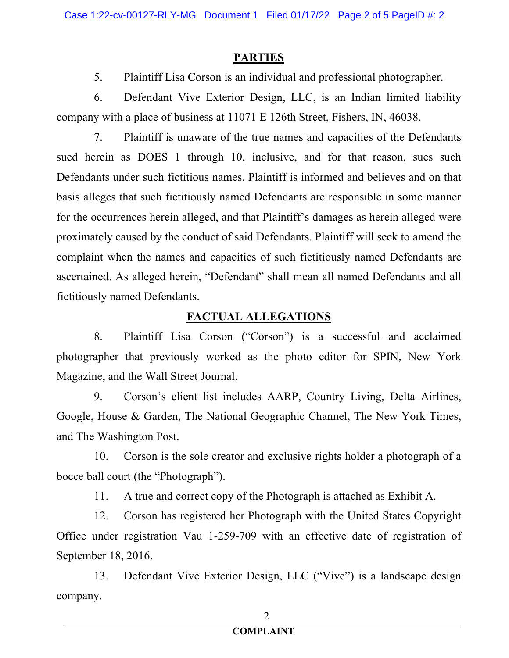### **PARTIES**

5. Plaintiff Lisa Corson is an individual and professional photographer.

6. Defendant Vive Exterior Design, LLC, is an Indian limited liability company with a place of business at 11071 E 126th Street, Fishers, IN, 46038.

7. Plaintiff is unaware of the true names and capacities of the Defendants sued herein as DOES 1 through 10, inclusive, and for that reason, sues such Defendants under such fictitious names. Plaintiff is informed and believes and on that basis alleges that such fictitiously named Defendants are responsible in some manner for the occurrences herein alleged, and that Plaintiff's damages as herein alleged were proximately caused by the conduct of said Defendants. Plaintiff will seek to amend the complaint when the names and capacities of such fictitiously named Defendants are ascertained. As alleged herein, "Defendant" shall mean all named Defendants and all fictitiously named Defendants.

# **FACTUAL ALLEGATIONS**

8. Plaintiff Lisa Corson ("Corson") is a successful and acclaimed photographer that previously worked as the photo editor for SPIN, New York Magazine, and the Wall Street Journal.

9. Corson's client list includes AARP, Country Living, Delta Airlines, Google, House & Garden, The National Geographic Channel, The New York Times, and The Washington Post.

10. Corson is the sole creator and exclusive rights holder a photograph of a bocce ball court (the "Photograph").

11. A true and correct copy of the Photograph is attached as Exhibit A.

12. Corson has registered her Photograph with the United States Copyright Office under registration Vau 1-259-709 with an effective date of registration of September 18, 2016.

13. Defendant Vive Exterior Design, LLC ("Vive") is a landscape design company.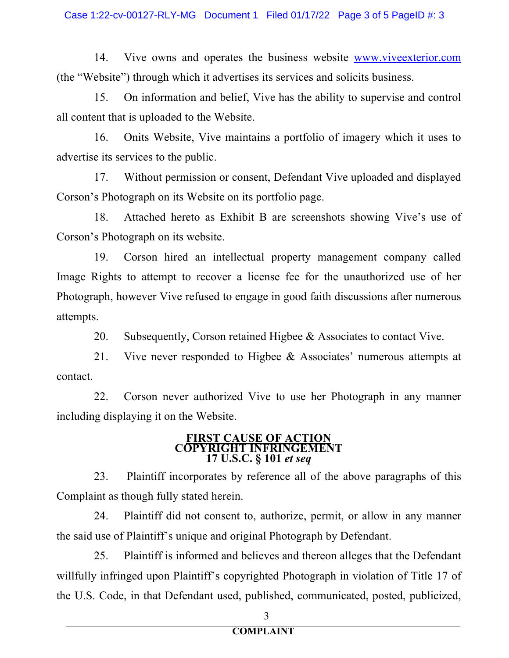14. Vive owns and operates the business website www.viveexterior.com (the "Website") through which it advertises its services and solicits business.

15. On information and belief, Vive has the ability to supervise and control all content that is uploaded to the Website.

16. Onits Website, Vive maintains a portfolio of imagery which it uses to advertise its services to the public.

17. Without permission or consent, Defendant Vive uploaded and displayed Corson's Photograph on its Website on its portfolio page.

18. Attached hereto as Exhibit B are screenshots showing Vive's use of Corson's Photograph on its website.

19. Corson hired an intellectual property management company called Image Rights to attempt to recover a license fee for the unauthorized use of her Photograph, however Vive refused to engage in good faith discussions after numerous attempts.

20. Subsequently, Corson retained Higbee & Associates to contact Vive.

21. Vive never responded to Higbee & Associates' numerous attempts at contact.

22. Corson never authorized Vive to use her Photograph in any manner including displaying it on the Website.

#### **FIRST CAUSE OF ACTION COPYRIGHT INFRIDEREMENT 17 U.S.C. § 101** *et seq*

23. Plaintiff incorporates by reference all of the above paragraphs of this Complaint as though fully stated herein.

24. Plaintiff did not consent to, authorize, permit, or allow in any manner the said use of Plaintiff's unique and original Photograph by Defendant.

25. Plaintiff is informed and believes and thereon alleges that the Defendant willfully infringed upon Plaintiff's copyrighted Photograph in violation of Title 17 of the U.S. Code, in that Defendant used, published, communicated, posted, publicized,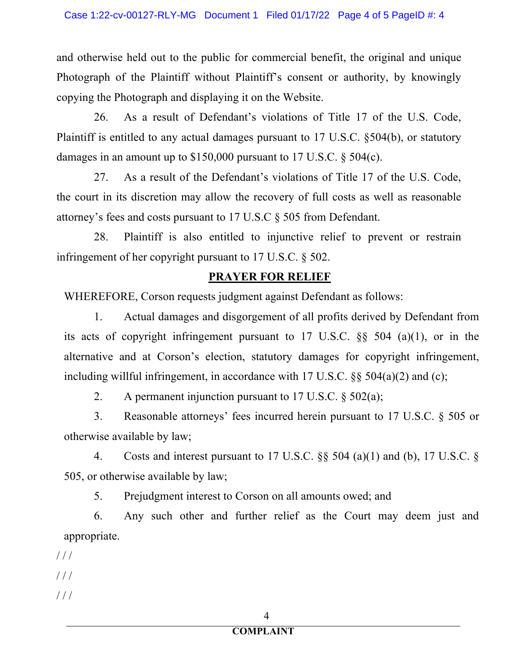and otherwise held out to the public for commercial benefit, the original and unique Photograph of the Plaintiff without Plaintiff's consent or authority, by knowingly copying the Photograph and displaying it on the Website.

26. As a result of Defendant's violations of Title 17 of the U.S. Code, Plaintiff is entitled to any actual damages pursuant to 17 U.S.C. §504(b), or statutory damages in an amount up to \$150,000 pursuant to 17 U.S.C. § 504(c).

27. As a result of the Defendant's violations of Title 17 of the U.S. Code, the court in its discretion may allow the recovery of full costs as well as reasonable attorney's fees and costs pursuant to 17 U.S.C § 505 from Defendant.

28. Plaintiff is also entitled to injunctive relief to prevent or restrain infringement of her copyright pursuant to 17 U.S.C. § 502.

### **PRAYER FOR RELIEF**

WHEREFORE, Corson requests judgment against Defendant as follows:

1. Actual damages and disgorgement of all profits derived by Defendant from its acts of copyright infringement pursuant to 17 U.S.C. §§ 504 (a)(1), or in the alternative and at Corson's election, statutory damages for copyright infringement, including willful infringement, in accordance with 17 U.S.C. §§ 504(a)(2) and (c);

2. A permanent injunction pursuant to 17 U.S.C. § 502(a);

3. Reasonable attorneys' fees incurred herein pursuant to 17 U.S.C. § 505 or otherwise available by law;

4. Costs and interest pursuant to 17 U.S.C. §§ 504 (a)(1) and (b), 17 U.S.C. § 505, or otherwise available by law;

5. Prejudgment interest to Corson on all amounts owed; and

6. Any such other and further relief as the Court may deem just and appropriate.

 $///$ 

 $//$ 

 $//$